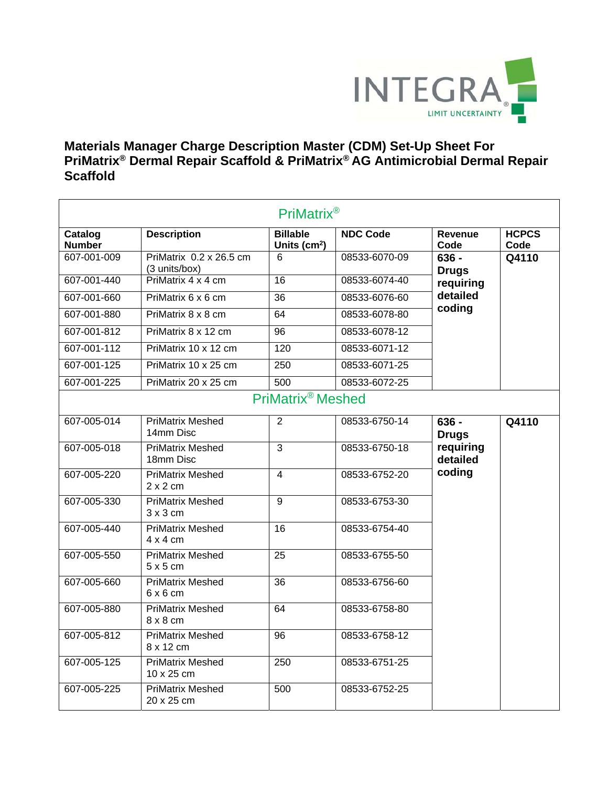

## **Materials Manager Charge Description Master (CDM) Set-Up Sheet For PriMatrix® Dermal Repair Scaffold & PriMatrix® AG Antimicrobial Dermal Repair Scaffold**

| <b>PriMatrix®</b>        |                                            |                                  |                 |                                                            |                      |  |
|--------------------------|--------------------------------------------|----------------------------------|-----------------|------------------------------------------------------------|----------------------|--|
| Catalog<br><b>Number</b> | <b>Description</b>                         | <b>Billable</b><br>Units $(cm2)$ | <b>NDC Code</b> | Revenue<br>Code                                            | <b>HCPCS</b><br>Code |  |
| 607-001-009              | PriMatrix 0.2 x 26.5 cm<br>(3 units/box)   | 6                                | 08533-6070-09   | $636 -$<br><b>Drugs</b><br>requiring<br>detailed<br>coding | Q4110                |  |
| 607-001-440              | PriMatrix 4 x 4 cm                         | $\overline{16}$                  | 08533-6074-40   |                                                            |                      |  |
| 607-001-660              | PriMatrix 6 x 6 cm                         | 36                               | 08533-6076-60   |                                                            |                      |  |
| 607-001-880              | PriMatrix 8 x 8 cm                         | 64                               | 08533-6078-80   |                                                            |                      |  |
| 607-001-812              | PriMatrix 8 x 12 cm                        | $\overline{96}$                  | 08533-6078-12   |                                                            |                      |  |
| 607-001-112              | PriMatrix 10 x 12 cm                       | 120                              | 08533-6071-12   |                                                            |                      |  |
| 607-001-125              | PriMatrix 10 x 25 cm                       | $\overline{250}$                 | 08533-6071-25   |                                                            |                      |  |
| 607-001-225              | PriMatrix 20 x 25 cm                       | 500                              | 08533-6072-25   |                                                            |                      |  |
|                          |                                            | PriMatrix <sup>®</sup> Meshed    |                 |                                                            |                      |  |
| 607-005-014              | <b>PriMatrix Meshed</b><br>14mm Disc       | $\overline{2}$                   | 08533-6750-14   | $636 -$<br><b>Drugs</b><br>requiring<br>detailed<br>coding | Q4110                |  |
| 607-005-018              | <b>PriMatrix Meshed</b><br>18mm Disc       | $\overline{3}$                   | 08533-6750-18   |                                                            |                      |  |
| 607-005-220              | <b>PriMatrix Meshed</b><br>$2 \times 2$ cm | $\overline{4}$                   | 08533-6752-20   |                                                            |                      |  |
| 607-005-330              | <b>PriMatrix Meshed</b><br>$3 \times 3$ cm | $\overline{9}$                   | 08533-6753-30   |                                                            |                      |  |
| 607-005-440              | <b>PriMatrix Meshed</b><br>$4 \times 4$ cm | $\overline{16}$                  | 08533-6754-40   |                                                            |                      |  |
| 607-005-550              | <b>PriMatrix Meshed</b><br>$5 \times 5$ cm | $\overline{25}$                  | 08533-6755-50   |                                                            |                      |  |
| 607-005-660              | <b>PriMatrix Meshed</b><br>$6 \times 6$ cm | 36                               | 08533-6756-60   |                                                            |                      |  |
| 607-005-880              | <b>PriMatrix Meshed</b><br>$8 \times 8$ cm | 64                               | 08533-6758-80   |                                                            |                      |  |
| 607-005-812              | <b>PriMatrix Meshed</b><br>8 x 12 cm       | 96                               | 08533-6758-12   |                                                            |                      |  |
| 607-005-125              | <b>PriMatrix Meshed</b><br>10 x 25 cm      | $\overline{250}$                 | 08533-6751-25   |                                                            |                      |  |
| 607-005-225              | <b>PriMatrix Meshed</b><br>20 x 25 cm      | 500                              | 08533-6752-25   |                                                            |                      |  |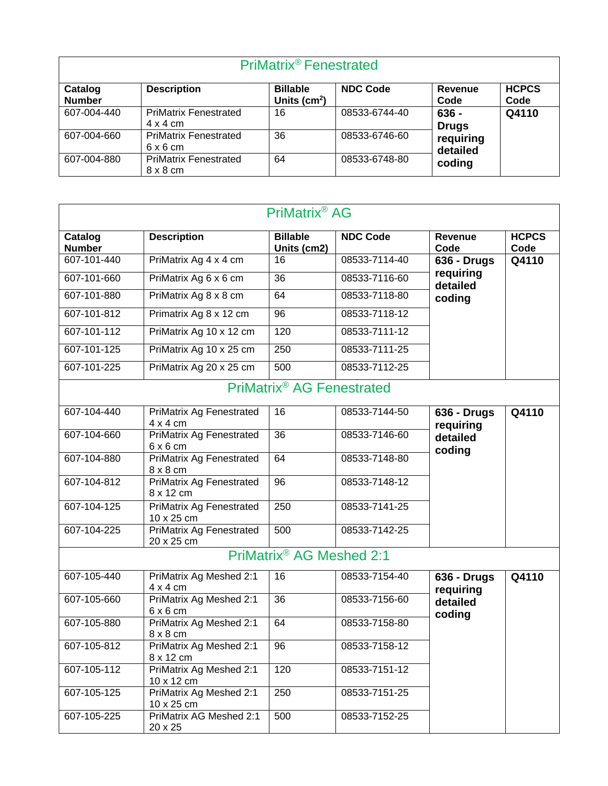| PriMatrix <sup>®</sup> Fenestrated |                                                 |                                    |                 |                                                          |                      |  |  |
|------------------------------------|-------------------------------------------------|------------------------------------|-----------------|----------------------------------------------------------|----------------------|--|--|
| Catalog<br><b>Number</b>           | <b>Description</b>                              | <b>Billable</b><br>Units ( $cm2$ ) | <b>NDC Code</b> | Revenue<br>Code                                          | <b>HCPCS</b><br>Code |  |  |
| 607-004-440                        | <b>PriMatrix Fenestrated</b><br>$4 \times 4$ cm | 16                                 | 08533-6744-40   | 636 -<br><b>Drugs</b><br>requiring<br>detailed<br>coding | Q4110                |  |  |
| 607-004-660                        | <b>PriMatrix Fenestrated</b><br>$6 \times 6$ cm | 36                                 | 08533-6746-60   |                                                          |                      |  |  |
| 607-004-880                        | <b>PriMatrix Fenestrated</b><br>$8 \times 8$ cm | 64                                 | 08533-6748-80   |                                                          |                      |  |  |

| PriMatrix <sup>®</sup> AG |                                                    |                                       |                 |                                                       |                      |  |
|---------------------------|----------------------------------------------------|---------------------------------------|-----------------|-------------------------------------------------------|----------------------|--|
| Catalog<br><b>Number</b>  | <b>Description</b>                                 | <b>Billable</b><br>Units (cm2)        | <b>NDC Code</b> | <b>Revenue</b><br>Code                                | <b>HCPCS</b><br>Code |  |
| 607-101-440               | PriMatrix Ag 4 x 4 cm                              | 16                                    | 08533-7114-40   | <b>636 - Drugs</b><br>requiring<br>detailed<br>coding | Q4110                |  |
| 607-101-660               | PriMatrix Ag 6 x 6 cm                              | 36                                    | 08533-7116-60   |                                                       |                      |  |
| 607-101-880               | PriMatrix Ag 8 x 8 cm                              | 64                                    | 08533-7118-80   |                                                       |                      |  |
| 607-101-812               | Primatrix Ag 8 x 12 cm                             | 96                                    | 08533-7118-12   |                                                       |                      |  |
| 607-101-112               | PriMatrix Ag 10 x 12 cm                            | 120                                   | 08533-7111-12   |                                                       |                      |  |
| 607-101-125               | PriMatrix Ag 10 x 25 cm                            | 250                                   | 08533-7111-25   |                                                       |                      |  |
| 607-101-225               | PriMatrix Ag 20 x 25 cm                            | 500                                   | 08533-7112-25   |                                                       |                      |  |
|                           |                                                    | PriMatrix <sup>®</sup> AG Fenestrated |                 |                                                       |                      |  |
| 607-104-440               | <b>PriMatrix Ag Fenestrated</b><br>$4 \times 4$ cm | 16                                    | 08533-7144-50   | <b>636 - Drugs</b><br>requiring<br>detailed<br>coding | Q4110                |  |
| 607-104-660               | <b>PriMatrix Ag Fenestrated</b><br>$6 \times 6$ cm | 36                                    | 08533-7146-60   |                                                       |                      |  |
| 607-104-880               | <b>PriMatrix Ag Fenestrated</b><br>$8 \times 8$ cm | 64                                    | 08533-7148-80   |                                                       |                      |  |
| 607-104-812               | PriMatrix Ag Fenestrated<br>8 x 12 cm              | 96                                    | 08533-7148-12   |                                                       |                      |  |
| 607-104-125               | <b>PriMatrix Ag Fenestrated</b><br>10 x 25 cm      | 250                                   | 08533-7141-25   |                                                       |                      |  |
| 607-104-225               | <b>PriMatrix Ag Fenestrated</b><br>20 x 25 cm      | 500                                   | 08533-7142-25   |                                                       |                      |  |
|                           |                                                    | PriMatrix® AG Meshed 2:1              |                 |                                                       |                      |  |
| 607-105-440               | PriMatrix Ag Meshed 2:1<br>$4 \times 4$ cm         | 16                                    | 08533-7154-40   | <b>636 - Drugs</b><br>requiring<br>detailed<br>coding | Q4110                |  |
| 607-105-660               | PriMatrix Ag Meshed 2:1<br>$6 \times 6$ cm         | 36                                    | 08533-7156-60   |                                                       |                      |  |
| 607-105-880               | PriMatrix Ag Meshed 2:1<br>$8 \times 8$ cm         | 64                                    | 08533-7158-80   |                                                       |                      |  |
| 607-105-812               | PriMatrix Ag Meshed 2:1<br>8 x 12 cm               | 96                                    | 08533-7158-12   |                                                       |                      |  |
| 607-105-112               | PriMatrix Ag Meshed 2:1<br>10 x 12 cm              | 120                                   | 08533-7151-12   |                                                       |                      |  |
| 607-105-125               | PriMatrix Ag Meshed 2:1<br>10 x 25 cm              | 250                                   | 08533-7151-25   |                                                       |                      |  |
| 607-105-225               | PriMatrix AG Meshed 2:1<br>20 x 25                 | 500                                   | 08533-7152-25   |                                                       |                      |  |